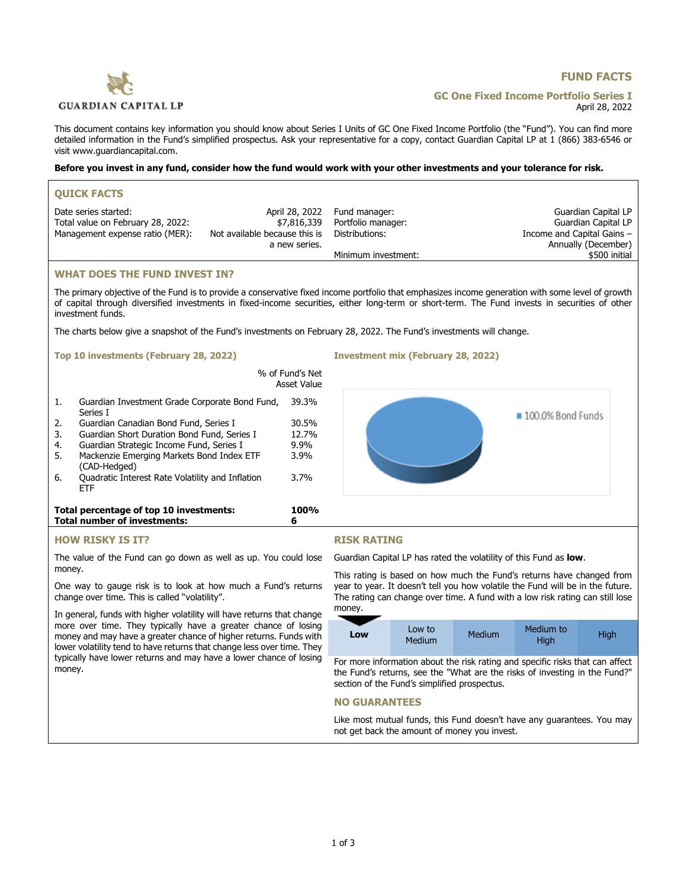# **GUARDIAN CAPITAL LP**

# **FUND FACTS**

**GC One Fixed Income Portfolio Series I** April 28, 2022

This document contains key information you should know about Series I Units of GC One Fixed Income Portfolio (the "Fund"). You can find more detailed information in the Fund's simplified prospectus. Ask your representative for a copy, contact Guardian Capital LP at 1 (866) 383-6546 or visit [www.guardiancapital.com](http://www.guardiancapital.com).

#### **Before you invest in any fund, consider how the fund would work with your other investments and your tolerance for risk.**

| <b>OUICK FACTS</b>                |                               |                              |                            |
|-----------------------------------|-------------------------------|------------------------------|----------------------------|
| Date series started:              |                               | April 28, 2022 Fund manager: | Guardian Capital LP        |
| Total value on February 28, 2022: | \$7,816,339                   | Portfolio manager:           | Guardian Capital LP        |
| Management expense ratio (MER):   | Not available because this is | Distributions:               | Income and Capital Gains - |
|                                   | a new series.                 |                              | Annually (December)        |
|                                   |                               | Minimum investment:          | \$500 initial              |
|                                   |                               |                              |                            |

## **WHAT DOES THE FUND INVEST IN?**

The primary objective of the Fund is to provide a conservative fixed income portfolio that emphasizes income generation with some level of growth of capital through diversified investments in fixed-income securities, either long-term or short-term. The Fund invests in securities of other investment funds.

The charts below give a snapshot of the Fund's investments on February 28, 2022. The Fund's investments will change.

#### **Top 10 investments (February 28, 2022) Investment mix (February 28, 2022)**



## **HOW RISKY IS IT?**

The value of the Fund can go down as well as up. You could lose money.

One way to gauge risk is to look at how much a Fund's returns change over time. This is called "volatility".

In general, funds with higher volatility will have returns that change more over time. They typically have a greater chance of losing money and may have a greater chance of higher returns. Funds with lower volatility tend to have returns that change less over time. They typically have lower returns and may have a lower chance of losing money.

## **RISK RATING**

Guardian Capital LP has rated the volatility of this Fund as **low**.

This rating is based on how much the Fund's returns have changed from year to year. It doesn't tell you how volatile the Fund will be in the future. The rating can change over time. A fund with a low risk rating can still lose money.

| Low | Low to<br>Medium | Medium | Medium to<br>Hiah | High |
|-----|------------------|--------|-------------------|------|
|     |                  |        |                   |      |

For more information about the risk rating and specific risks that can affect the Fund's returns, see the "What are the risks of investing in the Fund?" section of the Fund's simplified prospectus.

## **NO GUARANTEES**

Like most mutual funds, this Fund doesn't have any guarantees. You may not get back the amount of money you invest.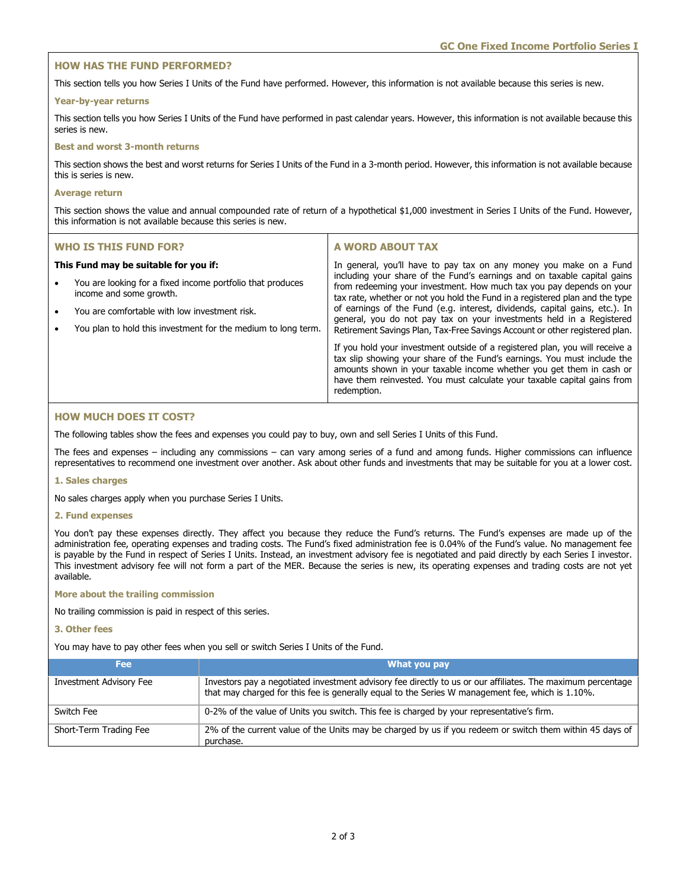## **HOW HAS THE FUND PERFORMED?**

This section tells you how Series I Units of the Fund have performed. However, this information is not available because this series is new.

#### **Year-by-year returns**

This section tells you how Series I Units of the Fund have performed in past calendar years. However, this information is not available because this series is new.

## **Best and worst 3-month returns**

This section shows the best and worst returns for Series I Units of the Fund in a 3-month period. However, this information is not available because this is series is new.

#### **Average return**

This section shows the value and annual compounded rate of return of a hypothetical \$1,000 investment in Series I Units of the Fund. However, this information is not available because this series is new.

| <b>WHO IS THIS FUND FOR?</b> |                                                                                                                                                                                                                                                  | A WORD ABOUT TAX                                                                                                                                                                                                                                                                                                                                                                                                                                                                                                                             |
|------------------------------|--------------------------------------------------------------------------------------------------------------------------------------------------------------------------------------------------------------------------------------------------|----------------------------------------------------------------------------------------------------------------------------------------------------------------------------------------------------------------------------------------------------------------------------------------------------------------------------------------------------------------------------------------------------------------------------------------------------------------------------------------------------------------------------------------------|
| $\bullet$<br>$\bullet$       | This Fund may be suitable for you if:<br>You are looking for a fixed income portfolio that produces<br>income and some growth.<br>You are comfortable with low investment risk.<br>You plan to hold this investment for the medium to long term. | In general, you'll have to pay tax on any money you make on a Fund<br>including your share of the Fund's earnings and on taxable capital gains<br>from redeeming your investment. How much tax you pay depends on your<br>tax rate, whether or not you hold the Fund in a registered plan and the type<br>of earnings of the Fund (e.g. interest, dividends, capital gains, etc.). In<br>general, you do not pay tax on your investments held in a Registered<br>Retirement Savings Plan, Tax-Free Savings Account or other registered plan. |
|                              |                                                                                                                                                                                                                                                  | If you hold your investment outside of a registered plan, you will receive a<br>tax slip showing your share of the Fund's earnings. You must include the<br>amounts shown in your taxable income whether you get them in cash or<br>have them reinvested. You must calculate your taxable capital gains from<br>redemption.                                                                                                                                                                                                                  |

## **HOW MUCH DOES IT COST?**

The following tables show the fees and expenses you could pay to buy, own and sell Series I Units of this Fund.

The fees and expenses – including any commissions – can vary among series of a fund and among funds. Higher commissions can influence representatives to recommend one investment over another. Ask about other funds and investments that may be suitable for you at a lower cost.

## **1. Sales charges**

No sales charges apply when you purchase Series I Units.

#### **2. Fund expenses**

You don't pay these expenses directly. They affect you because they reduce the Fund's returns. The Fund's expenses are made up of the administration fee, operating expenses and trading costs. The Fund's fixed administration fee is 0.04% of the Fund's value. No management fee is payable by the Fund in respect of Series I Units. Instead, an investment advisory fee is negotiated and paid directly by each Series I investor. This investment advisory fee will not form a part of the MER. Because the series is new, its operating expenses and trading costs are not yet available.

## **More about the trailing commission**

No trailing commission is paid in respect of this series.

## **3. Other fees**

You may have to pay other fees when you sell or switch Series I Units of the Fund.

| <b>Fee</b>                     | What you pay                                                                                                                                                                                                    |
|--------------------------------|-----------------------------------------------------------------------------------------------------------------------------------------------------------------------------------------------------------------|
| <b>Investment Advisory Fee</b> | Investors pay a negotiated investment advisory fee directly to us or our affiliates. The maximum percentage<br>that may charged for this fee is generally equal to the Series W management fee, which is 1.10%. |
| Switch Fee                     | 0-2% of the value of Units you switch. This fee is charged by your representative's firm.                                                                                                                       |
| Short-Term Trading Fee         | 2% of the current value of the Units may be charged by us if you redeem or switch them within 45 days of<br>purchase.                                                                                           |